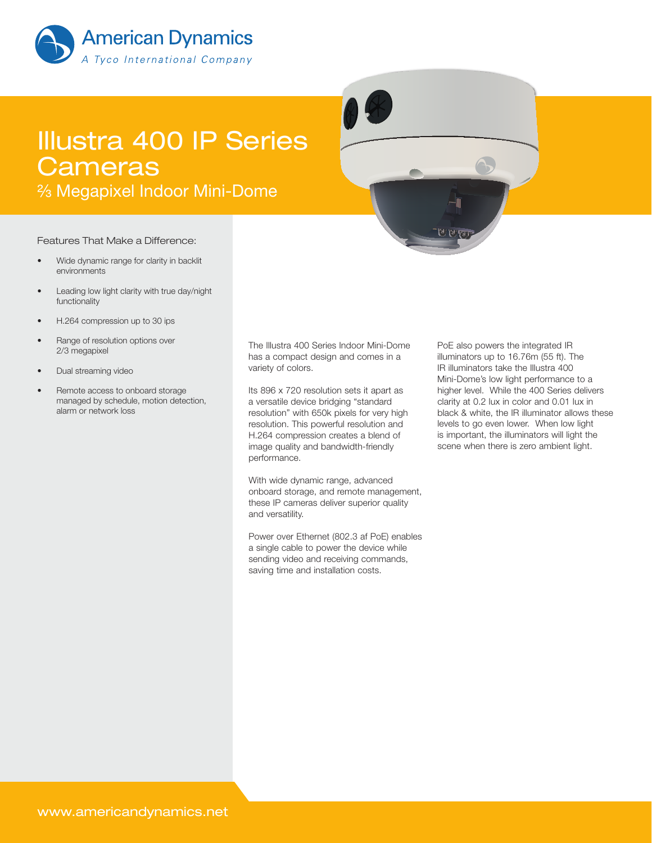

# Illustra 400 IP Series **Cameras**

<sup>2</sup>⁄<sub>3</sub> Megapixel Indoor Mini-Dome

#### Features That Make a Difference:

- Wide dynamic range for clarity in backlit environments
- Leading low light clarity with true day/night functionality
- H.264 compression up to 30 ips
- Range of resolution options over 2/3 megapixel
- Dual streaming video
- Remote access to onboard storage managed by schedule, motion detection, alarm or network loss

The Illustra 400 Series Indoor Mini-Dome has a compact design and comes in a variety of colors.

Its 896 x 720 resolution sets it apart as a versatile device bridging "standard resolution" with 650k pixels for very high resolution. This powerful resolution and H.264 compression creates a blend of image quality and bandwidth-friendly performance.

With wide dynamic range, advanced onboard storage, and remote management, these IP cameras deliver superior quality and versatility.

Power over Ethernet (802.3 af PoE) enables a single cable to power the device while sending video and receiving commands, saving time and installation costs.

PoE also powers the integrated IR illuminators up to 16.76m (55 ft). The IR illuminators take the Illustra 400 Mini-Dome's low light performance to a higher level. While the 400 Series delivers clarity at 0.2 lux in color and 0.01 lux in black & white, the IR illuminator allows these levels to go even lower. When low light is important, the illuminators will light the scene when there is zero ambient light.

होटी <sup>पू</sup>र्वा प≤ने